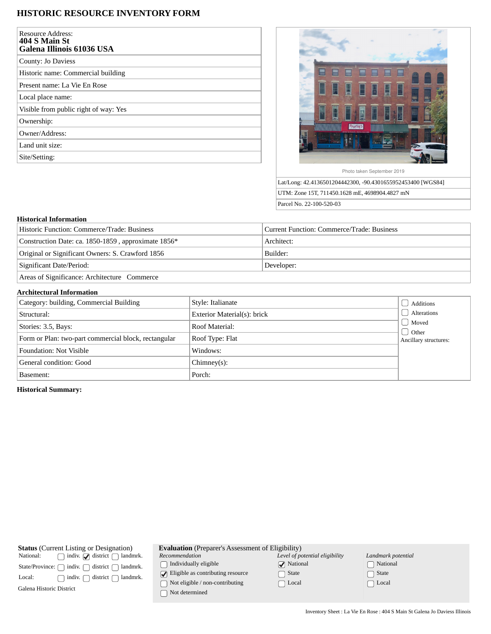## **HISTORIC RESOURCE INVENTORY FORM**

| <b>Resource Address:</b><br><b>404 S Main St</b><br>Galena Illinois 61036 USA |
|-------------------------------------------------------------------------------|
| County: Jo Daviess                                                            |
| Historic name: Commercial building                                            |
| Present name: La Vie En Rose                                                  |
| Local place name:                                                             |
| Visible from public right of way: Yes                                         |
| Ownership:                                                                    |
| Owner/Address:                                                                |
| Land unit size:                                                               |
| Site/Setting:                                                                 |



Lat/Long: 42.4136501204442300, -90.4301655952453400 [WGS84] UTM: Zone 15T, 711450.1628 mE, 4698904.4827 mN Parcel No. 22-100-520-03

## **Historical Information**

| Historic Function: Commerce/Trade: Business         | Current Function: Commerce/Trade: Business |  |
|-----------------------------------------------------|--------------------------------------------|--|
| Construction Date: ca. 1850-1859, approximate 1856* | Architect:                                 |  |
| Original or Significant Owners: S. Crawford 1856    | Builder:                                   |  |
| Significant Date/Period:                            | Developer:                                 |  |
| Areas of Significance: Architecture Commerce        |                                            |  |

## **Architectural Information**

| Category: building, Commercial Building              | Style: Italianate           | Additions                                |
|------------------------------------------------------|-----------------------------|------------------------------------------|
| Structural:                                          | Exterior Material(s): brick | Alterations                              |
| Stories: 3.5, Bays:                                  | Roof Material:              | Moved                                    |
| Form or Plan: two-part commercial block, rectangular | Roof Type: Flat             | $\bigcup$ Other<br>Ancillary structures: |
| <b>Foundation: Not Visible</b>                       | Windows:                    |                                          |
| General condition: Good                              | $Chimney(s)$ :              |                                          |
| Basement:                                            | Porch:                      |                                          |

**Historical Summary:**

| <b>Status</b> (Current Listing or Designation)                       | <b>Evaluation</b> (Preparer's Assessment of Eligibility) |                                |                    |  |
|----------------------------------------------------------------------|----------------------------------------------------------|--------------------------------|--------------------|--|
| National:<br>indiv. $\sqrt{\phantom{a}}$ district $\int$<br>landmrk. | Recommendation                                           | Level of potential eligibility | Landmark potential |  |
| indiv.<br>district<br>landmrk.<br>State/Province: ∩                  | Individually eligible                                    | $\sqrt{\phantom{a}}$ National  | National           |  |
| landmrk.<br>Local:<br>indiv.<br>district                             | $\Box$ Eligible as contributing resource                 | State                          | State              |  |
| Galena Historic District                                             | Not eligible / non-contributing<br>Not determined        | ∩ Local                        | Local              |  |